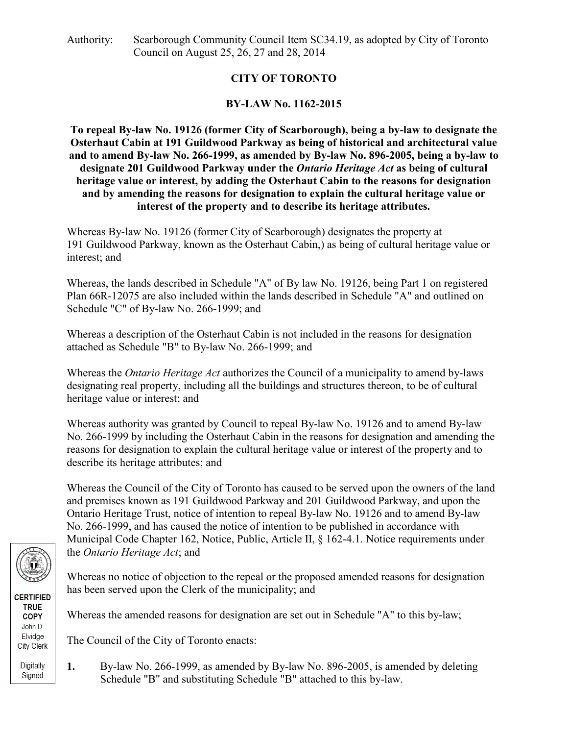# **CITY OF TORONTO**

# **BY-LAW No. 1162-2015**

**To repeal By-law No. 19126 (former City of Scarborough), being a by-law to designate the Osterhaut Cabin at 191 Guildwood Parkway as being of historical and architectural value and to amend By-law No. 266-1999, as amended by By-law No. 896-2005, being a by-law to designate 201 Guildwood Parkway under the** *Ontario Heritage Act* **as being of cultural heritage value or interest, by adding the Osterhaut Cabin to the reasons for designation and by amending the reasons for designation to explain the cultural heritage value or interest of the property and to describe its heritage attributes.**

Whereas By-law No. 19126 (former City of Scarborough) designates the property at 191 Guildwood Parkway, known as the Osterhaut Cabin,) as being of cultural heritage value or interest; and

Whereas, the lands described in Schedule "A" of By law No. 19126, being Part 1 on registered Plan 66R-12075 are also included within the lands described in Schedule "A" and outlined on Schedule "C" of By-law No. 266-1999; and

Whereas a description of the Osterhaut Cabin is not included in the reasons for designation attached as Schedule "B" to By-law No. 266-1999; and

Whereas the *Ontario Heritage Act* authorizes the Council of a municipality to amend by-laws designating real property, including all the buildings and structures thereon, to be of cultural heritage value or interest; and

Whereas authority was granted by Council to repeal By-law No. 19126 and to amend By-law No. 266-1999 by including the Osterhaut Cabin in the reasons for designation and amending the reasons for designation to explain the cultural heritage value or interest of the property and to describe its heritage attributes; and

Whereas the Council of the City of Toronto has caused to be served upon the owners of the land and premises known as 191 Guildwood Parkway and 201 Guildwood Parkway, and upon the Ontario Heritage Trust, notice of intention to repeal By-law No. 19126 and to amend By-law No. 266-1999, and has caused the notice of intention to be published in accordance with Municipal Code Chapter 162, Notice, Public, Article II, § 162-4.1. Notice requirements under the *Ontario Heritage Act*; and

Whereas no notice of objection to the repeal or the proposed amended reasons for designation has been served upon the Clerk of the municipality; and

Whereas the amended reasons for designation are set out in Schedule "A" to this by-law;

The Council of the City of Toronto enacts:

**1.** By-law No. 266-1999, as amended by By-law No. 896-2005, is amended by deleting Schedule "B" and substituting Schedule "B" attached to this by-law.



**CERTIFIED TRUE** COPY John D. Elvidge City Clerk Digitally

Signed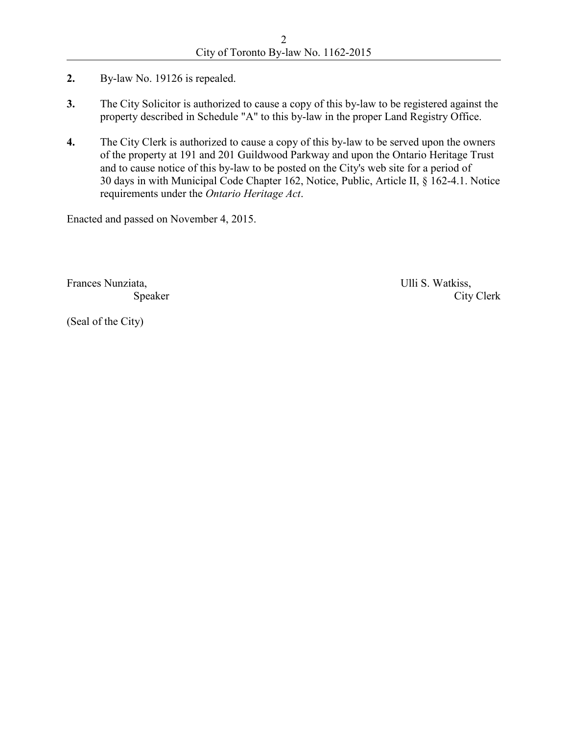- **2.** By-law No. 19126 is repealed.
- **3.** The City Solicitor is authorized to cause a copy of this by-law to be registered against the property described in Schedule "A" to this by-law in the proper Land Registry Office.
- **4.** The City Clerk is authorized to cause a copy of this by-law to be served upon the owners of the property at 191 and 201 Guildwood Parkway and upon the Ontario Heritage Trust and to cause notice of this by-law to be posted on the City's web site for a period of 30 days in with Municipal Code Chapter 162, Notice, Public, Article II, § 162-4.1. Notice requirements under the *Ontario Heritage Act*.

Enacted and passed on November 4, 2015.

Frances Nunziata, Ulli S. Watkiss,

Speaker City Clerk

(Seal of the City)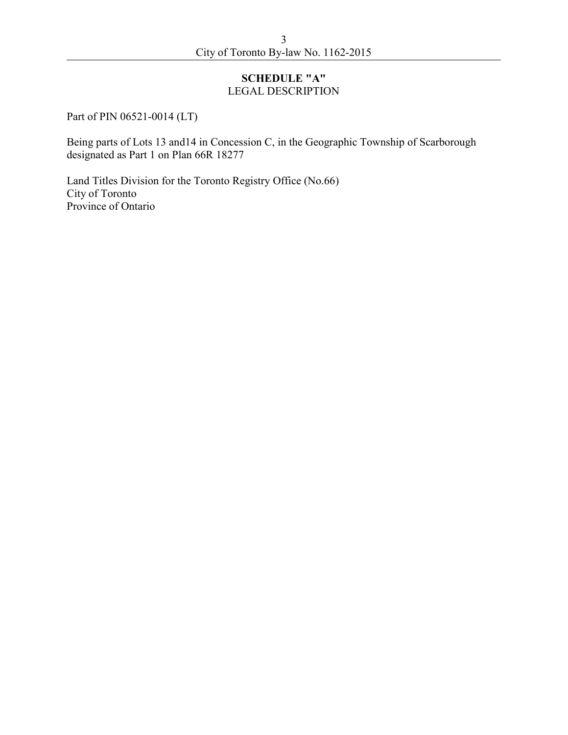### **SCHEDULE "A"**  LEGAL DESCRIPTION

Part of PIN 06521-0014 (LT)

Being parts of Lots 13 and14 in Concession C, in the Geographic Township of Scarborough designated as Part 1 on Plan 66R 18277

Land Titles Division for the Toronto Registry Office (No.66) City of Toronto Province of Ontario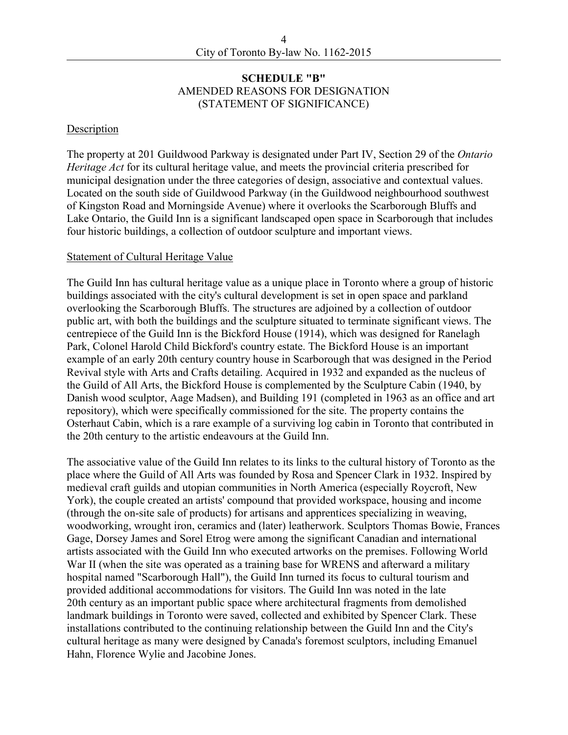#### **SCHEDULE "B"**  AMENDED REASONS FOR DESIGNATION (STATEMENT OF SIGNIFICANCE)

#### Description

The property at 201 Guildwood Parkway is designated under Part IV, Section 29 of the *Ontario Heritage Act* for its cultural heritage value, and meets the provincial criteria prescribed for municipal designation under the three categories of design, associative and contextual values. Located on the south side of Guildwood Parkway (in the Guildwood neighbourhood southwest of Kingston Road and Morningside Avenue) where it overlooks the Scarborough Bluffs and Lake Ontario, the Guild Inn is a significant landscaped open space in Scarborough that includes four historic buildings, a collection of outdoor sculpture and important views.

#### Statement of Cultural Heritage Value

The Guild Inn has cultural heritage value as a unique place in Toronto where a group of historic buildings associated with the city's cultural development is set in open space and parkland overlooking the Scarborough Bluffs. The structures are adjoined by a collection of outdoor public art, with both the buildings and the sculpture situated to terminate significant views. The centrepiece of the Guild Inn is the Bickford House (1914), which was designed for Ranelagh Park, Colonel Harold Child Bickford's country estate. The Bickford House is an important example of an early 20th century country house in Scarborough that was designed in the Period Revival style with Arts and Crafts detailing. Acquired in 1932 and expanded as the nucleus of the Guild of All Arts, the Bickford House is complemented by the Sculpture Cabin (1940, by Danish wood sculptor, Aage Madsen), and Building 191 (completed in 1963 as an office and art repository), which were specifically commissioned for the site. The property contains the Osterhaut Cabin, which is a rare example of a surviving log cabin in Toronto that contributed in the 20th century to the artistic endeavours at the Guild Inn.

The associative value of the Guild Inn relates to its links to the cultural history of Toronto as the place where the Guild of All Arts was founded by Rosa and Spencer Clark in 1932. Inspired by medieval craft guilds and utopian communities in North America (especially Roycroft, New York), the couple created an artists' compound that provided workspace, housing and income (through the on-site sale of products) for artisans and apprentices specializing in weaving, woodworking, wrought iron, ceramics and (later) leatherwork. Sculptors Thomas Bowie, Frances Gage, Dorsey James and Sorel Etrog were among the significant Canadian and international artists associated with the Guild Inn who executed artworks on the premises. Following World War II (when the site was operated as a training base for WRENS and afterward a military hospital named "Scarborough Hall"), the Guild Inn turned its focus to cultural tourism and provided additional accommodations for visitors. The Guild Inn was noted in the late 20th century as an important public space where architectural fragments from demolished landmark buildings in Toronto were saved, collected and exhibited by Spencer Clark. These installations contributed to the continuing relationship between the Guild Inn and the City's cultural heritage as many were designed by Canada's foremost sculptors, including Emanuel Hahn, Florence Wylie and Jacobine Jones.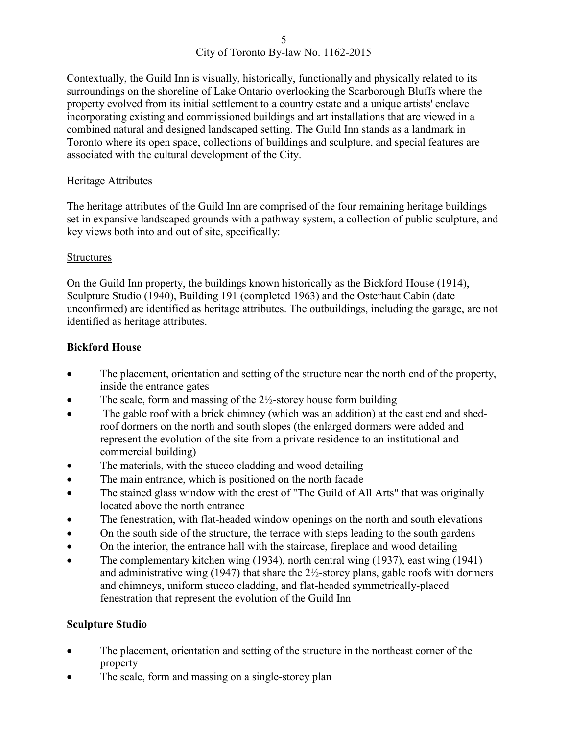Contextually, the Guild Inn is visually, historically, functionally and physically related to its surroundings on the shoreline of Lake Ontario overlooking the Scarborough Bluffs where the property evolved from its initial settlement to a country estate and a unique artists' enclave incorporating existing and commissioned buildings and art installations that are viewed in a combined natural and designed landscaped setting. The Guild Inn stands as a landmark in Toronto where its open space, collections of buildings and sculpture, and special features are associated with the cultural development of the City.

### Heritage Attributes

The heritage attributes of the Guild Inn are comprised of the four remaining heritage buildings set in expansive landscaped grounds with a pathway system, a collection of public sculpture, and key views both into and out of site, specifically:

#### Structures

On the Guild Inn property, the buildings known historically as the Bickford House (1914), Sculpture Studio (1940), Building 191 (completed 1963) and the Osterhaut Cabin (date unconfirmed) are identified as heritage attributes. The outbuildings, including the garage, are not identified as heritage attributes.

### **Bickford House**

- The placement, orientation and setting of the structure near the north end of the property, inside the entrance gates
- The scale, form and massing of the  $2\frac{1}{2}$ -storey house form building
- The gable roof with a brick chimney (which was an addition) at the east end and shedroof dormers on the north and south slopes (the enlarged dormers were added and represent the evolution of the site from a private residence to an institutional and commercial building)
- The materials, with the stucco cladding and wood detailing
- The main entrance, which is positioned on the north facade
- The stained glass window with the crest of "The Guild of All Arts" that was originally located above the north entrance
- The fenestration, with flat-headed window openings on the north and south elevations
- On the south side of the structure, the terrace with steps leading to the south gardens
- On the interior, the entrance hall with the staircase, fireplace and wood detailing
- The complementary kitchen wing (1934), north central wing (1937), east wing (1941) and administrative wing  $(1947)$  that share the  $2\frac{1}{2}$ -storey plans, gable roofs with dormers and chimneys, uniform stucco cladding, and flat-headed symmetrically-placed fenestration that represent the evolution of the Guild Inn

### **Sculpture Studio**

- The placement, orientation and setting of the structure in the northeast corner of the property
- The scale, form and massing on a single-storey plan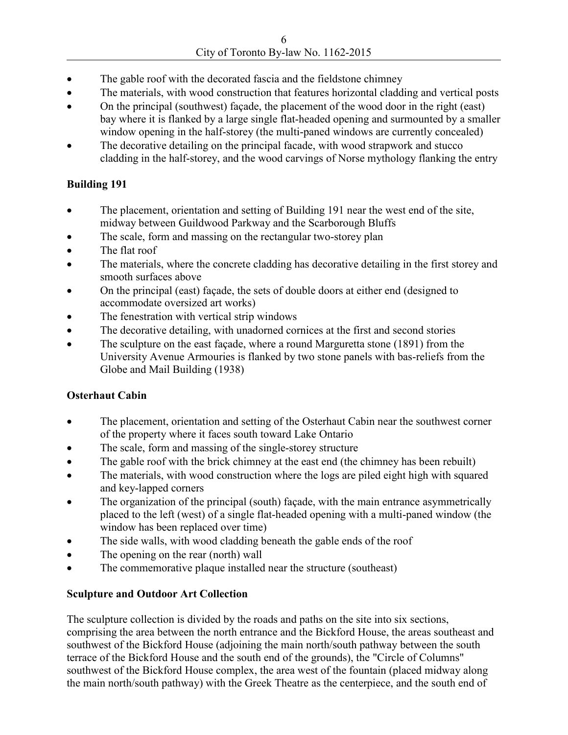- The gable roof with the decorated fascia and the fieldstone chimney
- The materials, with wood construction that features horizontal cladding and vertical posts
- On the principal (southwest) façade, the placement of the wood door in the right (east) bay where it is flanked by a large single flat-headed opening and surmounted by a smaller window opening in the half-storey (the multi-paned windows are currently concealed)
- The decorative detailing on the principal facade, with wood strapwork and stucco cladding in the half-storey, and the wood carvings of Norse mythology flanking the entry

### **Building 191**

- The placement, orientation and setting of Building 191 near the west end of the site, midway between Guildwood Parkway and the Scarborough Bluffs
- The scale, form and massing on the rectangular two-storey plan
- The flat roof
- The materials, where the concrete cladding has decorative detailing in the first storey and smooth surfaces above
- On the principal (east) façade, the sets of double doors at either end (designed to accommodate oversized art works)
- The fenestration with vertical strip windows
- The decorative detailing, with unadorned cornices at the first and second stories
- The sculpture on the east façade, where a round Marguretta stone (1891) from the University Avenue Armouries is flanked by two stone panels with bas-reliefs from the Globe and Mail Building (1938)

### **Osterhaut Cabin**

- The placement, orientation and setting of the Osterhaut Cabin near the southwest corner of the property where it faces south toward Lake Ontario
- The scale, form and massing of the single-storey structure
- The gable roof with the brick chimney at the east end (the chimney has been rebuilt)
- The materials, with wood construction where the logs are piled eight high with squared and key-lapped corners
- The organization of the principal (south) façade, with the main entrance asymmetrically placed to the left (west) of a single flat-headed opening with a multi-paned window (the window has been replaced over time)
- The side walls, with wood cladding beneath the gable ends of the roof
- The opening on the rear (north) wall
- The commemorative plaque installed near the structure (southeast)

# **Sculpture and Outdoor Art Collection**

The sculpture collection is divided by the roads and paths on the site into six sections, comprising the area between the north entrance and the Bickford House, the areas southeast and southwest of the Bickford House (adjoining the main north/south pathway between the south terrace of the Bickford House and the south end of the grounds), the "Circle of Columns" southwest of the Bickford House complex, the area west of the fountain (placed midway along the main north/south pathway) with the Greek Theatre as the centerpiece, and the south end of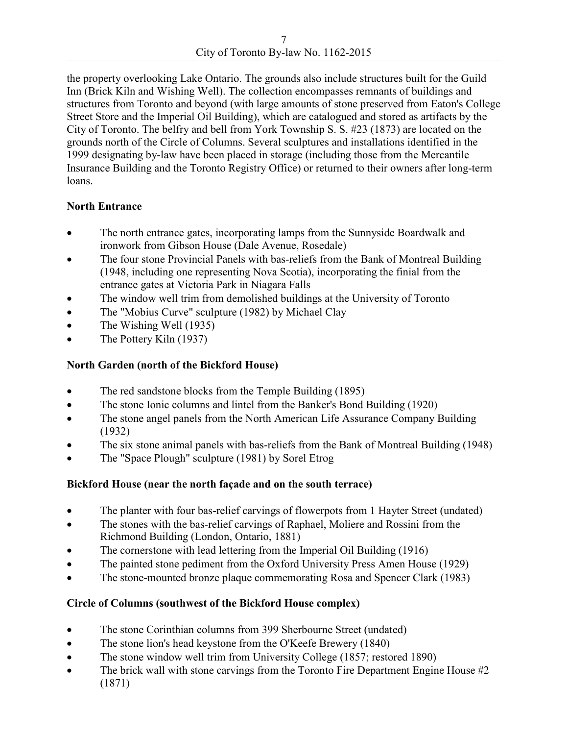the property overlooking Lake Ontario. The grounds also include structures built for the Guild Inn (Brick Kiln and Wishing Well). The collection encompasses remnants of buildings and structures from Toronto and beyond (with large amounts of stone preserved from Eaton's College Street Store and the Imperial Oil Building), which are catalogued and stored as artifacts by the City of Toronto. The belfry and bell from York Township S. S. #23 (1873) are located on the grounds north of the Circle of Columns. Several sculptures and installations identified in the 1999 designating by-law have been placed in storage (including those from the Mercantile Insurance Building and the Toronto Registry Office) or returned to their owners after long-term loans.

# **North Entrance**

- The north entrance gates, incorporating lamps from the Sunnyside Boardwalk and ironwork from Gibson House (Dale Avenue, Rosedale)
- The four stone Provincial Panels with bas-reliefs from the Bank of Montreal Building (1948, including one representing Nova Scotia), incorporating the finial from the entrance gates at Victoria Park in Niagara Falls
- The window well trim from demolished buildings at the University of Toronto
- The "Mobius Curve" sculpture (1982) by Michael Clay
- The Wishing Well (1935)
- The Pottery Kiln (1937)

## **North Garden (north of the Bickford House)**

- The red sandstone blocks from the Temple Building (1895)
- The stone Ionic columns and lintel from the Banker's Bond Building (1920)
- The stone angel panels from the North American Life Assurance Company Building (1932)
- The six stone animal panels with bas-reliefs from the Bank of Montreal Building (1948)
- The "Space Plough" sculpture (1981) by Sorel Etrog

### **Bickford House (near the north façade and on the south terrace)**

- The planter with four bas-relief carvings of flowerpots from 1 Hayter Street (undated)
- The stones with the bas-relief carvings of Raphael, Moliere and Rossini from the Richmond Building (London, Ontario, 1881)
- The cornerstone with lead lettering from the Imperial Oil Building (1916)
- The painted stone pediment from the Oxford University Press Amen House (1929)
- The stone-mounted bronze plaque commemorating Rosa and Spencer Clark (1983)

# **Circle of Columns (southwest of the Bickford House complex)**

- The stone Corinthian columns from 399 Sherbourne Street (undated)
- The stone lion's head keystone from the O'Keefe Brewery (1840)
- The stone window well trim from University College (1857; restored 1890)
- The brick wall with stone carvings from the Toronto Fire Department Engine House #2 (1871)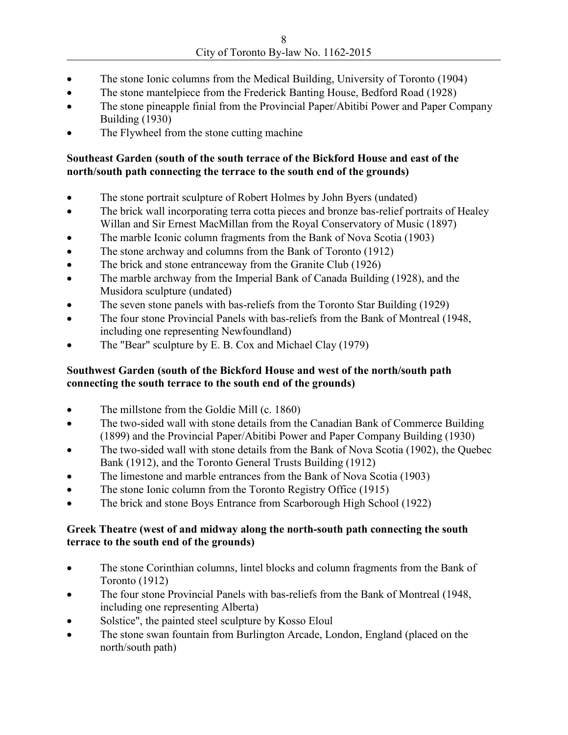- The stone Ionic columns from the Medical Building, University of Toronto (1904)
- The stone mantelpiece from the Frederick Banting House, Bedford Road (1928)
- The stone pineapple finial from the Provincial Paper/Abitibi Power and Paper Company Building (1930)
- The Flywheel from the stone cutting machine

### **Southeast Garden (south of the south terrace of the Bickford House and east of the north/south path connecting the terrace to the south end of the grounds)**

- The stone portrait sculpture of Robert Holmes by John Byers (undated)
- The brick wall incorporating terra cotta pieces and bronze bas-relief portraits of Healey Willan and Sir Ernest MacMillan from the Royal Conservatory of Music (1897)
- The marble Iconic column fragments from the Bank of Nova Scotia (1903)
- The stone archway and columns from the Bank of Toronto (1912)
- The brick and stone entranceway from the Granite Club (1926)
- The marble archway from the Imperial Bank of Canada Building (1928), and the Musidora sculpture (undated)
- The seven stone panels with bas-reliefs from the Toronto Star Building (1929)
- The four stone Provincial Panels with bas-reliefs from the Bank of Montreal (1948, including one representing Newfoundland)
- The "Bear" sculpture by E. B. Cox and Michael Clay (1979)

### **Southwest Garden (south of the Bickford House and west of the north/south path connecting the south terrace to the south end of the grounds)**

- The millstone from the Goldie Mill (c. 1860)
- The two-sided wall with stone details from the Canadian Bank of Commerce Building (1899) and the Provincial Paper/Abitibi Power and Paper Company Building (1930)
- The two-sided wall with stone details from the Bank of Nova Scotia (1902), the Quebec Bank (1912), and the Toronto General Trusts Building (1912)
- The limestone and marble entrances from the Bank of Nova Scotia (1903)
- The stone Ionic column from the Toronto Registry Office (1915)
- The brick and stone Boys Entrance from Scarborough High School (1922)

### **Greek Theatre (west of and midway along the north-south path connecting the south terrace to the south end of the grounds)**

- The stone Corinthian columns, lintel blocks and column fragments from the Bank of Toronto (1912)
- The four stone Provincial Panels with bas-reliefs from the Bank of Montreal (1948, including one representing Alberta)
- Solstice", the painted steel sculpture by Kosso Eloul
- The stone swan fountain from Burlington Arcade, London, England (placed on the north/south path)